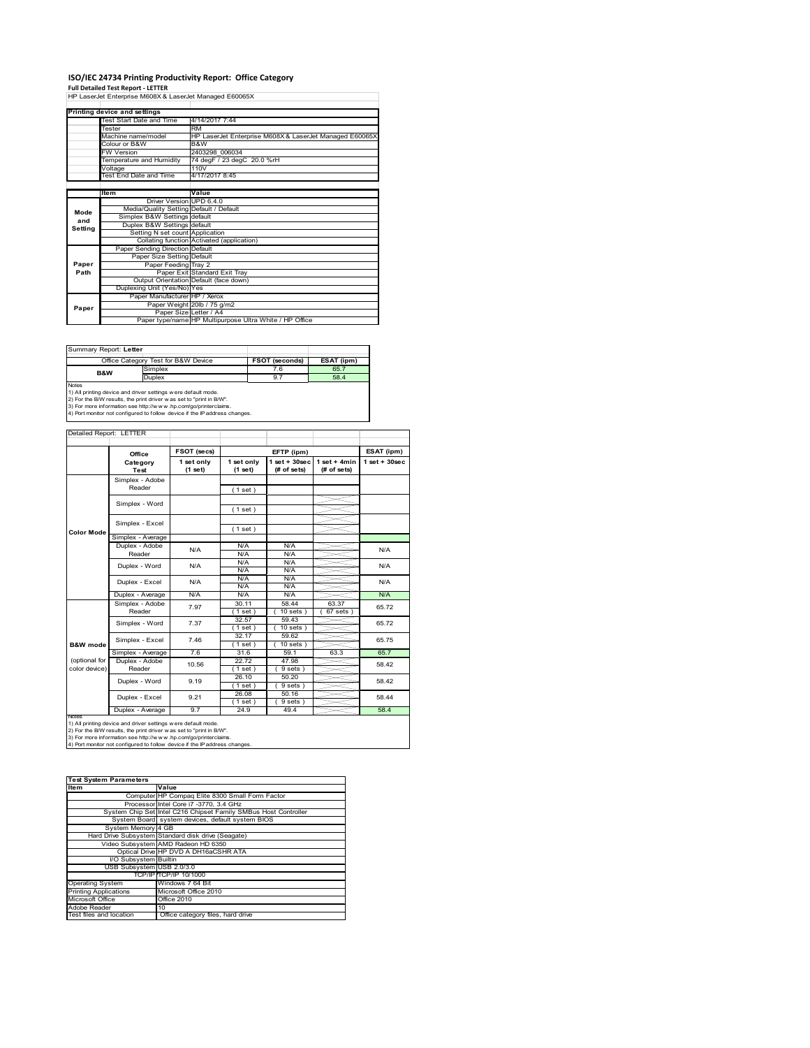# **ISO/IEC 24734 Printing Productivity Report: Office Category Full Detailed Test Report ‐ LETTER** HP LaserJet Enterprise M608X & LaserJet Managed E60065X

|         | Printing device and settings            |                                                         |  |  |
|---------|-----------------------------------------|---------------------------------------------------------|--|--|
|         | Test Start Date and Time                | 4/14/2017 7:44                                          |  |  |
|         | <b>Tester</b>                           | <b>RM</b>                                               |  |  |
|         | Machine name/model                      | HP LaserJet Enterprise M608X & LaserJet Managed E60065X |  |  |
|         | Colour or B&W                           | B&W                                                     |  |  |
|         | <b>FW Version</b>                       | 2403298 006034                                          |  |  |
|         | Temperature and Humidity                | 74 degF / 23 degC 20.0 %rH                              |  |  |
|         | Voltage                                 | 110V                                                    |  |  |
|         | Test End Date and Time                  | 4/17/2017 8:45                                          |  |  |
|         |                                         |                                                         |  |  |
|         | Item                                    | Value                                                   |  |  |
|         | Driver Version UPD 6.4.0                |                                                         |  |  |
| Mode    | Media/Quality Setting Default / Default |                                                         |  |  |
| and     | Simplex B&W Settings default            |                                                         |  |  |
| Setting | Duplex B&W Settings default             |                                                         |  |  |
|         | Setting N set count Application         |                                                         |  |  |
|         |                                         | Collating function Activated (application)              |  |  |
|         | Paper Sending Direction Default         |                                                         |  |  |
|         | Paper Size Setting Default              |                                                         |  |  |
| Paper   | Paper Feeding Tray 2                    |                                                         |  |  |
| Path    |                                         | Paper Exit Standard Exit Tray                           |  |  |
|         |                                         | Output Orientation Default (face down)                  |  |  |
|         | Duplexing Unit (Yes/No) Yes             |                                                         |  |  |
|         | Paper Manufacturer HP / Xerox           |                                                         |  |  |
| Paper   |                                         | Paper Weight 20lb / 75 g/m2                             |  |  |
|         | Paper Size Letter / A4                  |                                                         |  |  |
|         |                                         | Paper type/name HP Multipurpose Ultra White / HP Office |  |  |

Summary Report: **Letter**

| Office Category Test for B&W Device |                                                                            | <b>FSOT (seconds)</b> | ESAT (ipm) |  |  |  |
|-------------------------------------|----------------------------------------------------------------------------|-----------------------|------------|--|--|--|
| <b>B&amp;W</b>                      | Simplex                                                                    | 7.6                   | 65.7       |  |  |  |
|                                     | <b>Duplex</b>                                                              | 9.7                   | 58.4       |  |  |  |
| <b>Notes</b>                        |                                                                            |                       |            |  |  |  |
|                                     | 1) All printing device and driver settings were default mode.              |                       |            |  |  |  |
|                                     | 2) For the B/W results, the print driver was set to "print in B/W".        |                       |            |  |  |  |
|                                     | 3) For more information see http://www.hp.com/go/printerclaims.            |                       |            |  |  |  |
|                                     | 4) Port monitor not configured to follow device if the IP address changes. |                       |            |  |  |  |

|  | Detailed Report: LETTER |
|--|-------------------------|

|                                | Office                    | FSOT (secs)           |                       | EFTP (ipm)                     |                               | ESAT (ipm)        |
|--------------------------------|---------------------------|-----------------------|-----------------------|--------------------------------|-------------------------------|-------------------|
|                                | Category<br><b>Test</b>   | 1 set only<br>(1 set) | 1 set only<br>(1 set) | $1$ set + 30sec<br>(# of sets) | $1$ set + 4min<br>(# of sets) | $1$ set $+30$ sec |
|                                | Simplex - Adobe<br>Reader |                       | (1 set)               |                                |                               |                   |
|                                | Simplex - Word            |                       | (1 set)               |                                |                               |                   |
|                                | Simplex - Excel           |                       | (1 set)               |                                |                               |                   |
| <b>Color Mode</b>              | Simplex - Average         |                       |                       |                                |                               |                   |
|                                | Duplex - Adobe<br>Reader  | N/A                   | N/A<br>N/A            | N/A<br>N/A                     |                               | N/A               |
|                                | Duplex - Word             | N/A                   | N/A<br>N/A            | N/A<br>N/A                     |                               | N/A               |
|                                | Duplex - Excel            | N/A                   | N/A<br>N/A            | N/A<br>N/A                     |                               | N/A               |
|                                | Duplex - Average          | N/A                   | N/A                   | N/A                            |                               | N/A               |
|                                | Simplex - Adobe<br>Reader | 7.97                  | 30.11<br>(1 set)      | 58.44<br>$10$ sets $)$         | 63.37<br>$67$ sets $)$        | 65.72             |
| <b>B&amp;W</b> mode            | Simplex - Word            | 7.37                  | 32.57<br>$1$ set)     | 59.43<br>$10$ sets $)$         |                               | 65.72             |
|                                | Simplex - Excel           | 7.46                  | 32.17<br>(1 set )     | 59.62<br>$10$ sets $)$         |                               | 65.75             |
|                                | Simplex - Average         | 7.6                   | 31.6                  | 59.1                           | 63.3                          | 65.7              |
| (optional for<br>color device) | Duplex - Adobe<br>Reader  | 10.56                 | 22.72<br>$1$ set      | 47.98<br>9 sets)               |                               | 58.42             |
|                                | Duplex - Word             | 9.19                  | 26.10<br>$1$ set)     | 50.20<br>9 sets)               |                               | 58.42             |
|                                | Duplex - Excel            | 9.21                  | 26.08<br>$1$ set      | 50.16<br>9 sets)               |                               | 58.44             |
|                                | Duplex - Average          | 9.7                   | 24.9                  | 49.4                           |                               | 58.4              |

| <b>Test System Parameters</b> |                                                                 |  |  |
|-------------------------------|-----------------------------------------------------------------|--|--|
| <b>Item</b>                   | Value                                                           |  |  |
|                               | Computer HP Compaq Elite 8300 Small Form Factor                 |  |  |
|                               | Processor Intel Core i7 -3770, 3.4 GHz                          |  |  |
|                               | System Chip Set Intel C216 Chipset Family SMBus Host Controller |  |  |
|                               | System Board system devices, default system BIOS                |  |  |
| System Memory 4 GB            |                                                                 |  |  |
|                               | Hard Drive Subsystem Standard disk drive (Seagate)              |  |  |
|                               | Video Subsystem AMD Radeon HD 6350                              |  |  |
|                               | Optical Drive HP DVD A DH16aCSHR ATA                            |  |  |
| I/O Subsystem Builtin         |                                                                 |  |  |
| USB Subsystem USB 2.0/3.0     |                                                                 |  |  |
|                               | TCP/IP TCP/IP 10/1000                                           |  |  |
| <b>Operating System</b>       | Windows 7 64 Bit                                                |  |  |
| <b>Printing Applications</b>  | Microsoft Office 2010                                           |  |  |
| Microsoft Office              | <b>Office 2010</b>                                              |  |  |
| Adobe Reader                  | 10 <sup>1</sup>                                                 |  |  |
| Test files and location       | Office category files, hard drive                               |  |  |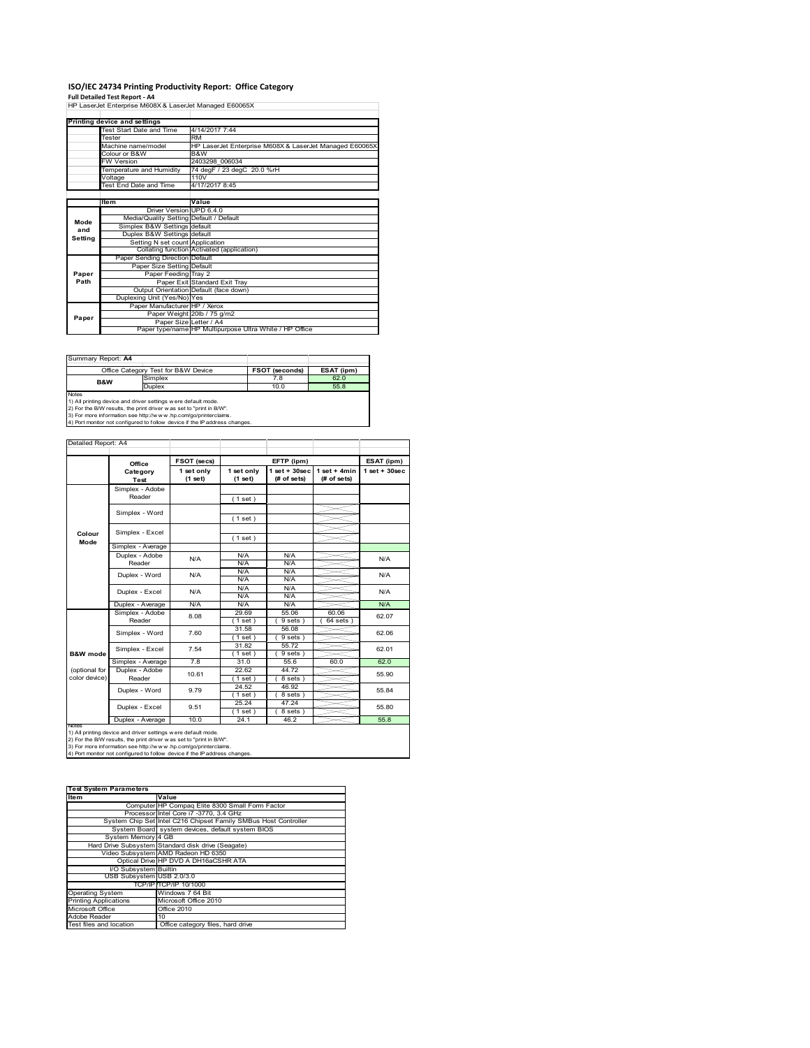# **ISO/IEC 24734 Printing Productivity Report: Office Category Full Detailed Test Report ‐ A4** HP LaserJet Enterprise M608X & LaserJet Managed E60065X

|         | Printing device and settings            |                                                         |
|---------|-----------------------------------------|---------------------------------------------------------|
|         | Test Start Date and Time                | 4/14/2017 7:44                                          |
|         | Tester                                  | <b>RM</b>                                               |
|         | Machine name/model                      | HP LaserJet Enterprise M608X & LaserJet Managed E60065X |
|         | Colour or B&W                           | B&W                                                     |
|         | <b>FW Version</b>                       | 2403298 006034                                          |
|         | Temperature and Humidity                | 74 degF / 23 degC 20.0 %rH                              |
|         | Voltage                                 | 110V                                                    |
|         | Test End Date and Time                  | 4/17/2017 8:45                                          |
|         |                                         |                                                         |
|         | Item                                    | Value                                                   |
|         | Driver Version UPD 6.4.0                |                                                         |
| Mode    | Media/Quality Setting Default / Default |                                                         |
| and     | Simplex B&W Settings default            |                                                         |
| Setting | Duplex B&W Settings default             |                                                         |
|         | Setting N set count Application         |                                                         |
|         |                                         | Collating function Activated (application)              |
|         | Paper Sending Direction Default         |                                                         |
|         | Paper Size Setting Default              |                                                         |
| Paper   | Paper Feeding Tray 2                    |                                                         |
| Path    |                                         | Paper Exit Standard Exit Tray                           |
|         |                                         | Output Orientation Default (face down)                  |
|         | Duplexing Unit (Yes/No) Yes             |                                                         |
|         | Paper Manufacturer HP / Xerox           |                                                         |
| Paper   |                                         | Paper Weight 20lb / 75 g/m2                             |
|         | Paper Size Letter / A4                  |                                                         |
|         |                                         | Paper type/name HP Multipurpose Ultra White / HP Office |

| Summary Report: A4 |                                                                                                                                    |                       |            |  |  |  |  |  |
|--------------------|------------------------------------------------------------------------------------------------------------------------------------|-----------------------|------------|--|--|--|--|--|
|                    | Office Category Test for B&W Device                                                                                                | <b>FSOT (seconds)</b> | ESAT (ipm) |  |  |  |  |  |
| B&W                | Simplex                                                                                                                            | 7.8                   | 62.0       |  |  |  |  |  |
|                    | <b>Duplex</b>                                                                                                                      | 10.0                  | 55.8       |  |  |  |  |  |
| <b>Notes</b>       | 1) All printing device and driver settings were default mode.<br>2) For the RAM results the print driver was set to "print in RAM" |                       |            |  |  |  |  |  |

2) For the B/W results, the print driver w as set to "print in B/W".<br>3) For more information see http://w w w.hp.com/go/printerclaims.<br>4) Port monitor not configured to follow device if the IP address changes.

|                                | Office                  | FSOT (secs)           | EFTP (ipm)            |                                   |                                | ESAT (ipm)         |  |
|--------------------------------|-------------------------|-----------------------|-----------------------|-----------------------------------|--------------------------------|--------------------|--|
|                                | Category<br><b>Test</b> | 1 set only<br>(1 set) | 1 set only<br>(1 set) | $1$ set + $30$ sec<br>(# of sets) | $1 set + 4 min$<br>(# of sets) | $1$ set + $30$ sec |  |
|                                | Simplex - Adobe         |                       |                       |                                   |                                |                    |  |
|                                | Reader                  |                       | (1 set)               |                                   |                                |                    |  |
|                                | Simplex - Word          |                       |                       |                                   |                                |                    |  |
|                                |                         |                       | (1 set)               |                                   |                                |                    |  |
| Colour                         | Simplex - Excel         |                       |                       |                                   |                                |                    |  |
| Mode                           |                         |                       | (1 set)               |                                   |                                |                    |  |
|                                | Simplex - Average       |                       |                       |                                   |                                |                    |  |
|                                | Duplex - Adobe          | N/A                   | N/A                   | N/A                               |                                | N/A                |  |
|                                | Reader                  |                       | N/A                   | N/A                               |                                |                    |  |
|                                | Duplex - Word           | N/A                   | N/A                   | N/A                               |                                | N/A                |  |
|                                |                         |                       | N/A                   | N/A                               |                                |                    |  |
|                                | Duplex - Excel          | N/A                   | N/A                   | N/A                               |                                | N/A                |  |
|                                |                         |                       | N/A                   | N/A                               |                                |                    |  |
|                                | Duplex - Average        | N/A                   | N/A                   | N/A                               |                                | N/A                |  |
|                                | Simplex - Adobe         | 8.08                  | 29.69                 | 55.06                             | 60.06                          | 62.07              |  |
|                                | Reader                  |                       | (1 set)               | $9 sets$ )                        | $64$ sets $)$                  |                    |  |
|                                | Simplex - Word          | 7.60                  | 31.58                 | 56.08                             |                                | 62.06              |  |
|                                |                         |                       | (1 set )              | $9 sets$ )                        |                                |                    |  |
|                                | Simplex - Excel         | 7.54                  | 31.82                 | 55.72                             |                                | 62.01              |  |
| <b>B&amp;W</b> mode            |                         |                       | (1 set)               | 9 sets)                           |                                |                    |  |
|                                | Simplex - Average       | 7.8                   | 31.0                  | 55.6                              | 60.0                           | 62.0               |  |
| (optional for<br>color device) | Duplex - Adobe          | 10.61                 | 22.62                 | 44.72                             |                                | 55.90              |  |
|                                | Reader                  |                       | (1 set)               | 8 sets)                           |                                |                    |  |
|                                | Duplex - Word           | 9.79                  | 24.52                 | 46.92                             |                                | 55.84              |  |
|                                |                         |                       | (1 set)               | 8 sets)                           |                                |                    |  |
|                                | Duplex - Excel          | 9.51                  | 25.24                 | 47.24                             |                                | 55.80              |  |
|                                |                         |                       | $1$ set)              | 8 sets)                           |                                | 55.8               |  |
| <b>IVOIES</b>                  | Duplex - Average        | 10.0                  | 24.1                  | 46.2                              |                                |                    |  |

| <b>Test System Parameters</b> |                                                                 |  |  |
|-------------------------------|-----------------------------------------------------------------|--|--|
| Item                          | Value                                                           |  |  |
|                               | Computer HP Compaq Elite 8300 Small Form Factor                 |  |  |
|                               | Processor Intel Core i7 -3770, 3.4 GHz                          |  |  |
|                               | System Chip Set Intel C216 Chipset Family SMBus Host Controller |  |  |
|                               | System Board system devices, default system BIOS                |  |  |
| System Memory 4 GB            |                                                                 |  |  |
|                               | Hard Drive Subsystem Standard disk drive (Seagate)              |  |  |
|                               | Video Subsystem AMD Radeon HD 6350                              |  |  |
|                               | Optical Drive HP DVD A DH16aCSHR ATA                            |  |  |
| I/O Subsystem Builtin         |                                                                 |  |  |
| USB Subsystem USB 2.0/3.0     |                                                                 |  |  |
|                               | TCP/IPITCP/IP 10/1000                                           |  |  |
| <b>Operating System</b>       | Windows 7 64 Bit                                                |  |  |
| <b>Printing Applications</b>  | Microsoft Office 2010                                           |  |  |
| Microsoft Office              | Office 2010                                                     |  |  |
| Adobe Reader                  | 10 <sup>1</sup>                                                 |  |  |
| Test files and location       | Office category files, hard drive                               |  |  |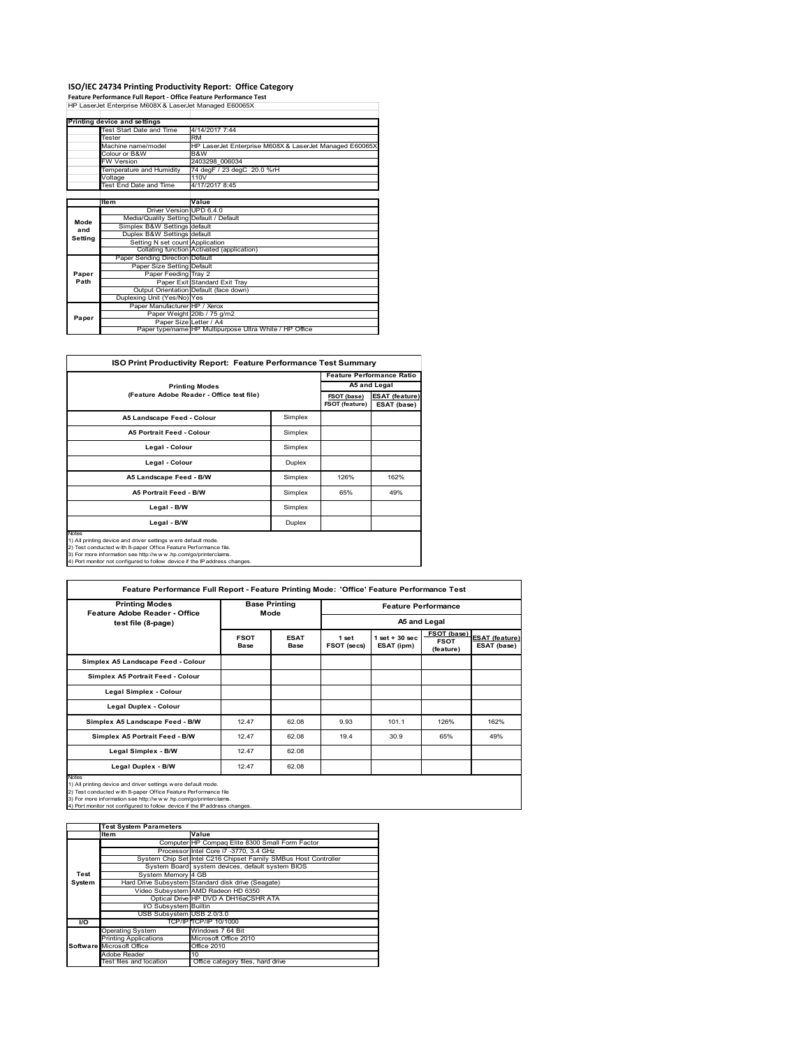**ISO/IEC 24734 Printing Productivity Report: Office Category Feature Performance Full Report ‐ Office Feature Performance Test** HP LaserJet Enterprise M608X & LaserJet Managed E60065X

|         | Printing device and settings            |                                                         |
|---------|-----------------------------------------|---------------------------------------------------------|
|         | Test Start Date and Time                | 4/14/2017 7:44                                          |
|         | Tester                                  | <b>RM</b>                                               |
|         | Machine name/model                      | HP LaserJet Enterprise M608X & LaserJet Managed E60065X |
|         | Colour or B&W                           | B&W                                                     |
|         | <b>FW Version</b>                       | 2403298 006034                                          |
|         | Temperature and Humidity                | 74 degF / 23 degC 20.0 %rH                              |
|         | Voltage                                 | 110V                                                    |
|         | Test End Date and Time                  | 4/17/2017 8:45                                          |
|         |                                         |                                                         |
|         | Item                                    | Value                                                   |
|         | Driver Version UPD 6.4.0                |                                                         |
| Mode    | Media/Quality Setting Default / Default |                                                         |
| and     | Simplex B&W Settings default            |                                                         |
| Setting | Duplex B&W Settings default             |                                                         |
|         | Setting N set count Application         |                                                         |
|         |                                         | Collating function Activated (application)              |
|         | Paper Sending Direction Default         |                                                         |
|         | Paper Size Setting Default              |                                                         |
| Paper   | Paper Feeding Tray 2                    |                                                         |
| Path    |                                         | Paper Exit Standard Exit Tray                           |
|         |                                         | Output Orientation Default (face down)                  |
|         | Duplexing Unit (Yes/No) Yes             |                                                         |
|         | Paper Manufacturer HP / Xerox           |                                                         |
| Paper   |                                         | Paper Weight 20lb / 75 g/m2                             |
|         |                                         | Paper Size Letter / A4                                  |
|         |                                         | Paper type/name HP Multipurpose Ultra White / HP Office |

|                                                                                                                                                                                                                     |         |                               | <b>Feature Performance Ratio</b>     |
|---------------------------------------------------------------------------------------------------------------------------------------------------------------------------------------------------------------------|---------|-------------------------------|--------------------------------------|
| <b>Printing Modes</b>                                                                                                                                                                                               |         |                               | A5 and Legal                         |
| (Feature Adobe Reader - Office test file)                                                                                                                                                                           |         | FSOT (base)<br>FSOT (feature) | <b>ESAT (feature)</b><br>ESAT (base) |
| A5 Landscape Feed - Colour                                                                                                                                                                                          | Simplex |                               |                                      |
| <b>A5 Portrait Feed - Colour</b>                                                                                                                                                                                    | Simplex |                               |                                      |
| Legal - Colour                                                                                                                                                                                                      | Simplex |                               |                                      |
| Legal - Colour                                                                                                                                                                                                      | Duplex  |                               |                                      |
| A5 Landscape Feed - B/W                                                                                                                                                                                             | Simplex | 126%                          | 162%                                 |
| <b>A5 Portrait Feed - B/W</b>                                                                                                                                                                                       | Simplex | 65%                           | 49%                                  |
| Legal - B/W                                                                                                                                                                                                         | Simplex |                               |                                      |
| Legal - B/W                                                                                                                                                                                                         | Duplex  |                               |                                      |
| <b>Notes</b><br>1) All printing device and driver settings were default mode.<br>2) Test conducted with 8-paper Office Feature Performance file.<br>3) For more information see http://www.hp.com/go/printerclaims. |         |                               |                                      |

3) For more information see http://w w w .hp.com/go/printerclaims. 4) Port monitor not configured to follow device if the IP address changes.

| <b>Printing Modes</b>                                                                                                                                                                                                                                                                        | <b>Base Printing</b><br>Mode |                            | <b>Feature Performance</b><br>A5 and Legal |                                |                                         |                                      |
|----------------------------------------------------------------------------------------------------------------------------------------------------------------------------------------------------------------------------------------------------------------------------------------------|------------------------------|----------------------------|--------------------------------------------|--------------------------------|-----------------------------------------|--------------------------------------|
| Feature Adobe Reader - Office<br>test file (8-page)                                                                                                                                                                                                                                          |                              |                            |                                            |                                |                                         |                                      |
|                                                                                                                                                                                                                                                                                              | <b>FSOT</b><br><b>Base</b>   | <b>ESAT</b><br><b>Base</b> | 1 set<br>FSOT (secs)                       | $1$ set + 30 sec<br>ESAT (ipm) | FSOT (base)<br><b>FSOT</b><br>(feature) | <b>ESAT (feature)</b><br>ESAT (base) |
| Simplex A5 Landscape Feed - Colour                                                                                                                                                                                                                                                           |                              |                            |                                            |                                |                                         |                                      |
| Simplex A5 Portrait Feed - Colour                                                                                                                                                                                                                                                            |                              |                            |                                            |                                |                                         |                                      |
| <b>Legal Simplex - Colour</b>                                                                                                                                                                                                                                                                |                              |                            |                                            |                                |                                         |                                      |
| Legal Duplex - Colour                                                                                                                                                                                                                                                                        |                              |                            |                                            |                                |                                         |                                      |
| Simplex A5 Landscape Feed - B/W                                                                                                                                                                                                                                                              | 12.47                        | 62.08                      | 9.93                                       | 101.1                          | 126%                                    | 162%                                 |
| Simplex A5 Portrait Feed - B/W                                                                                                                                                                                                                                                               | 12.47                        | 62.08                      | 19.4                                       | 30.9                           | 65%                                     | 49%                                  |
| Legal Simplex - B/W                                                                                                                                                                                                                                                                          | 12.47                        | 62.08                      |                                            |                                |                                         |                                      |
| Legal Duplex - B/W                                                                                                                                                                                                                                                                           | 12.47                        | 62.08                      |                                            |                                |                                         |                                      |
| Notes<br>1) All printing device and driver settings were default mode.<br>2) Test conducted with 8-paper Office Feature Performance file<br>3) For more information see http://w w w .hp.com/go/printerclaims.<br>4) Port monitor not configured to follow device if the IP address changes. |                              |                            |                                            |                                |                                         |                                      |

|           | <b>Test System Parameters</b> |                                                                 |  |  |  |  |
|-----------|-------------------------------|-----------------------------------------------------------------|--|--|--|--|
|           | <b>Item</b>                   | Value                                                           |  |  |  |  |
|           |                               | Computer HP Compaq Elite 8300 Small Form Factor                 |  |  |  |  |
|           |                               | Processor Intel Core i7 -3770, 3.4 GHz                          |  |  |  |  |
|           |                               | System Chip Set Intel C216 Chipset Family SMBus Host Controller |  |  |  |  |
|           |                               | System Board system devices, default system BIOS                |  |  |  |  |
| Test      | System Memory 4 GB            |                                                                 |  |  |  |  |
| System    |                               | Hard Drive Subsystem Standard disk drive (Seagate)              |  |  |  |  |
|           |                               | Video Subsystem AMD Radeon HD 6350                              |  |  |  |  |
|           |                               | Optical Drive HP DVD A DH16aCSHR ATA                            |  |  |  |  |
|           | I/O Subsystem Builtin         |                                                                 |  |  |  |  |
|           | USB Subsystem USB 2.0/3.0     |                                                                 |  |  |  |  |
| <b>VO</b> |                               | TCP/IP TCP/IP 10/1000                                           |  |  |  |  |
|           | <b>Operating System</b>       | Windows 7 64 Bit                                                |  |  |  |  |
|           | <b>Printing Applications</b>  | Microsoft Office 2010                                           |  |  |  |  |
|           | Software Microsoft Office     | <b>Office 2010</b>                                              |  |  |  |  |
|           | Adobe Reader                  | 10                                                              |  |  |  |  |
|           | Test files and location       | Office category files, hard drive                               |  |  |  |  |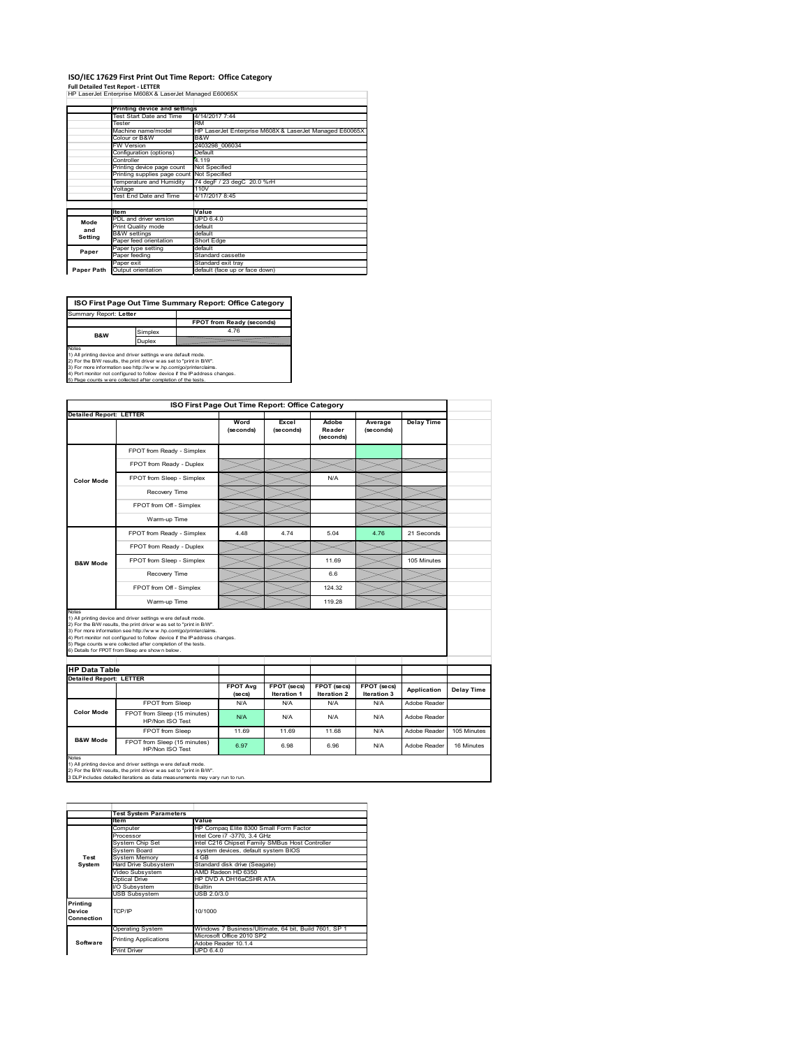## **ISO/IEC 17629 First Print Out Time Report: Office Category**

**Full Detailed Test Report ‐ LETTER** HP LaserJet Enterprise M608X & LaserJet Managed E60065X

|            | Printing device and settings               |                                                         |
|------------|--------------------------------------------|---------------------------------------------------------|
|            | Test Start Date and Time                   | 4/14/2017 7:44                                          |
|            | Tester                                     | <b>RM</b>                                               |
|            | Machine name/model                         | HP LaserJet Enterprise M608X & LaserJet Managed E60065X |
|            | Colour or B&W                              | B&W                                                     |
|            | <b>FW Version</b>                          | 2403298 006034                                          |
|            | Configuration (options)                    | Default                                                 |
|            | Controller                                 | 4.119                                                   |
|            | Printing device page count                 | Not Specified                                           |
|            | Printing supplies page count Not Specified |                                                         |
|            | Temperature and Humidity                   | 74 degF / 23 degC 20.0 %rH                              |
|            | Voltage                                    | 110V                                                    |
|            | Test End Date and Time                     | 4/17/2017 8:45                                          |
|            |                                            |                                                         |
|            | <b>Item</b>                                | Value                                                   |
| Mode       | PDL and driver version                     | <b>UPD 6.4.0</b>                                        |
| and        | Print Quality mode                         | default                                                 |
| Setting    | <b>B&amp;W</b> settings                    | default                                                 |
|            | Paper feed orientation                     | Short Edge                                              |
| Paper      | Paper type setting                         | default                                                 |
|            | Paper feeding                              | Standard cassette                                       |
|            | Paper exit                                 | Standard exit tray                                      |
| Paper Path | Output orientation                         | default (face up or face down)                          |

**ISO First Page Out Time Summary Report: Office Category**

**FPOT from Ready (seconds)**<br>Simplex 4.76 Duplex t: Letter Notes<br>1) All printing device and driver settings were default mode.<br>2) For the BW results, the print driver was set to "print in BW".<br>3) For more information see http://www.hp.com/golprinterclaims.<br>4) Port montor not confi **B&W**

|                                                        |                                                                                                                                                                                                                                                                    | ISO First Page Out Time Report: Office Category |                                   |                                          |                            |                   |             |
|--------------------------------------------------------|--------------------------------------------------------------------------------------------------------------------------------------------------------------------------------------------------------------------------------------------------------------------|-------------------------------------------------|-----------------------------------|------------------------------------------|----------------------------|-------------------|-------------|
| <b>Detailed Report: LETTER</b>                         |                                                                                                                                                                                                                                                                    | Word<br>(seconds)                               | Excel<br>(seconds)                | Adobe<br>Reader<br>(seconds)             | Average<br>(seconds)       | <b>Delay Time</b> |             |
|                                                        | FPOT from Ready - Simplex                                                                                                                                                                                                                                          |                                                 |                                   |                                          |                            |                   |             |
|                                                        | FPOT from Ready - Duplex                                                                                                                                                                                                                                           |                                                 |                                   |                                          |                            |                   |             |
| Color Mode                                             | FPOT from Sleep - Simplex                                                                                                                                                                                                                                          |                                                 |                                   | N/A                                      |                            |                   |             |
|                                                        | Recovery Time                                                                                                                                                                                                                                                      |                                                 |                                   |                                          |                            |                   |             |
|                                                        | FPOT from Off - Simplex                                                                                                                                                                                                                                            |                                                 |                                   |                                          |                            |                   |             |
|                                                        | Warm-up Time                                                                                                                                                                                                                                                       |                                                 |                                   |                                          |                            |                   |             |
|                                                        | FPOT from Ready - Simplex                                                                                                                                                                                                                                          | 4 4 8                                           | 4 74                              | 5.04                                     | 4.76                       | 21 Seconds        |             |
|                                                        | FPOT from Ready - Duplex                                                                                                                                                                                                                                           |                                                 |                                   |                                          |                            |                   |             |
| <b>B&amp;W Mode</b>                                    | FPOT from Sleep - Simplex                                                                                                                                                                                                                                          |                                                 |                                   | 11.69                                    |                            | 105 Minutes       |             |
|                                                        | Recovery Time                                                                                                                                                                                                                                                      |                                                 |                                   | 6.6                                      |                            |                   |             |
|                                                        | FPOT from Off - Simplex                                                                                                                                                                                                                                            |                                                 |                                   | 124.32                                   |                            |                   |             |
|                                                        | Warm-up Time                                                                                                                                                                                                                                                       |                                                 |                                   | 119.28                                   |                            |                   |             |
| Notes                                                  | 1) All printing device and driver settings w ere default mode.<br>2) For the B/W results, the print driver was set to "print in B/W".                                                                                                                              |                                                 |                                   |                                          |                            |                   |             |
|                                                        | 3) For more information see http://www.hp.com/go/printerclaims.<br>4) Port monitor not configured to follow device if the IP address changes.<br>5) Page counts w ere collected after completion of the tests.<br>6) Details for FPOT from Sleep are show n below. |                                                 |                                   |                                          |                            |                   |             |
|                                                        |                                                                                                                                                                                                                                                                    |                                                 |                                   |                                          |                            |                   |             |
| <b>HP Data Table</b><br><b>Detailed Report: LETTER</b> |                                                                                                                                                                                                                                                                    | <b>FPOT Avg</b><br>(se cs)                      | FPOT (secs)<br><b>Iteration 1</b> | <b>FPOT (secs)</b><br><b>Iteration 2</b> | FPOT (secs)<br>Iteration 3 | Application       | Delay Time  |
|                                                        | FPOT from Sleep                                                                                                                                                                                                                                                    | N/A                                             | N/A                               | N/A                                      | N/A                        | Adobe Reader      |             |
| <b>Color Mode</b>                                      | FPOT from Sleep (15 minutes)<br>HP/Non ISO Test                                                                                                                                                                                                                    | N/A                                             | N/A                               | N/A                                      | N/A                        | Adobe Reader      |             |
| <b>B&amp;W Mode</b>                                    | FPOT from Sleep                                                                                                                                                                                                                                                    | 11.69                                           | 11.69                             | 11.68                                    | N/A                        | Adobe Reader      | 105 Minutes |

1) All printing device and driver settings w ere default mode.<br>2) For the B/W results, the print driver w as set to "print in B/W".<br>3 DLP includes detailed iterations as data measurements may vary run to run.

|                    | <b>Test System Parameters</b> |                                                       |  |  |  |  |
|--------------------|-------------------------------|-------------------------------------------------------|--|--|--|--|
|                    | <b>Item</b>                   | Value                                                 |  |  |  |  |
|                    | Computer                      | HP Compaq Elite 8300 Small Form Factor                |  |  |  |  |
|                    | Processor                     | Intel Core i7 -3770, 3.4 GHz                          |  |  |  |  |
|                    | System Chip Set               | Intel C216 Chipset Family SMBus Host Controller       |  |  |  |  |
|                    | <b>System Board</b>           | system devices, default system BIOS                   |  |  |  |  |
| Test               | <b>System Memory</b>          | 4 GB                                                  |  |  |  |  |
| System             | <b>Hard Drive Subsystem</b>   | Standard disk drive (Seagate)                         |  |  |  |  |
|                    | Video Subsystem               | AMD Radeon HD 6350                                    |  |  |  |  |
|                    | Optical Drive                 | HP DVD A DH16aCSHR ATA                                |  |  |  |  |
|                    | I/O Subsystem                 | <b>Builtin</b>                                        |  |  |  |  |
|                    | <b>USB Subsystem</b>          | USB 2.0/3.0                                           |  |  |  |  |
| Printing<br>Device | TCP/IP                        | 10/1000                                               |  |  |  |  |
| Connection         |                               |                                                       |  |  |  |  |
|                    | <b>Operating System</b>       | Windows 7 Business/Ultimate, 64 bit, Build 7601, SP 1 |  |  |  |  |
|                    | <b>Printing Applications</b>  | Microsoft Office 2010 SP2                             |  |  |  |  |
| Software           |                               | Adobe Reader 10.1.4                                   |  |  |  |  |
|                    | <b>Print Driver</b>           | UPD 6.4.0                                             |  |  |  |  |